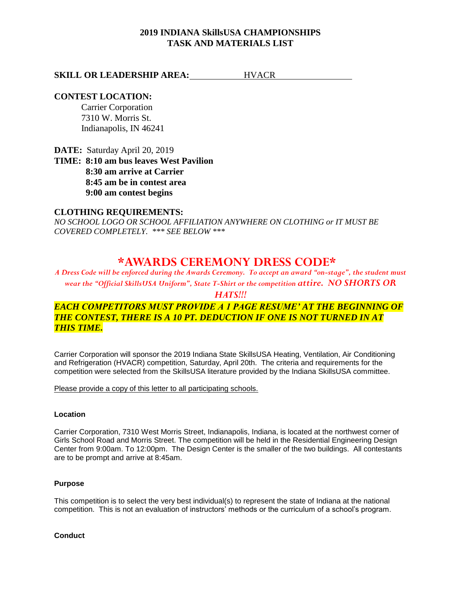# **2019 INDIANA SkillsUSA CHAMPIONSHIPS TASK AND MATERIALS LIST**

# **SKILL OR LEADERSHIP AREA:** HVACR

# **CONTEST LOCATION:**

Carrier Corporation 7310 W. Morris St. Indianapolis, IN 46241

**DATE:** Saturday April 20, 2019

**TIME: 8:10 am bus leaves West Pavilion 8:30 am arrive at Carrier 8:45 am be in contest area 9:00 am contest begins**

## **CLOTHING REQUIREMENTS:**

*NO SCHOOL LOGO OR SCHOOL AFFILIATION ANYWHERE ON CLOTHING or IT MUST BE COVERED COMPLETELY. \*\*\* SEE BELOW \*\*\**

# **\*AWARDS CEREMONY DRESS CODE\***

*A Dress Code will be enforced during the Awards Ceremony. To accept an award "on-stage", the student must wear the "Official SkillsUSA Uniform", State T-Shirt or the competition attire. NO SHORTS OR* 

## *HATS!!!*

# *EACH COMPETITORS MUST PROVIDE A 1 PAGE RESUME' AT THE BEGINNING OF THE CONTEST, THERE IS A 10 PT. DEDUCTION IF ONE IS NOT TURNED IN AT THIS TIME.*

Carrier Corporation will sponsor the 2019 Indiana State SkillsUSA Heating, Ventilation, Air Conditioning and Refrigeration (HVACR) competition, Saturday, April 20th. The criteria and requirements for the competition were selected from the SkillsUSA literature provided by the Indiana SkillsUSA committee.

Please provide a copy of this letter to all participating schools.

### **Location**

Carrier Corporation, 7310 West Morris Street, Indianapolis, Indiana, is located at the northwest corner of Girls School Road and Morris Street. The competition will be held in the Residential Engineering Design Center from 9:00am. To 12:00pm. The Design Center is the smaller of the two buildings. All contestants are to be prompt and arrive at 8:45am.

#### **Purpose**

This competition is to select the very best individual(s) to represent the state of Indiana at the national competition. This is not an evaluation of instructors' methods or the curriculum of a school's program.

#### **Conduct**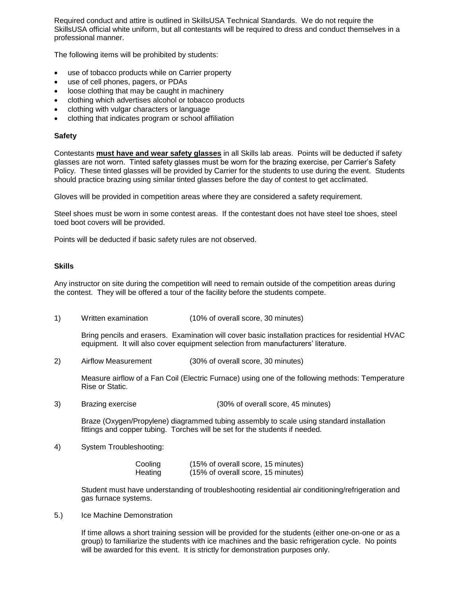Required conduct and attire is outlined in SkillsUSA Technical Standards. We do not require the SkillsUSA official white uniform, but all contestants will be required to dress and conduct themselves in a professional manner.

The following items will be prohibited by students:

- use of tobacco products while on Carrier property
- use of cell phones, pagers, or PDAs
- loose clothing that may be caught in machinery
- clothing which advertises alcohol or tobacco products
- clothing with vulgar characters or language
- clothing that indicates program or school affiliation

#### **Safety**

Contestants **must have and wear safety glasses** in all Skills lab areas. Points will be deducted if safety glasses are not worn. Tinted safety glasses must be worn for the brazing exercise, per Carrier's Safety Policy. These tinted glasses will be provided by Carrier for the students to use during the event. Students should practice brazing using similar tinted glasses before the day of contest to get acclimated.

Gloves will be provided in competition areas where they are considered a safety requirement.

Steel shoes must be worn in some contest areas. If the contestant does not have steel toe shoes, steel toed boot covers will be provided.

Points will be deducted if basic safety rules are not observed.

#### **Skills**

Any instructor on site during the competition will need to remain outside of the competition areas during the contest. They will be offered a tour of the facility before the students compete.

1) Written examination (10% of overall score, 30 minutes)

Bring pencils and erasers. Examination will cover basic installation practices for residential HVAC equipment. It will also cover equipment selection from manufacturers' literature.

2) Airflow Measurement (30% of overall score, 30 minutes)

Measure airflow of a Fan Coil (Electric Furnace) using one of the following methods: Temperature Rise or Static.

3) Brazing exercise (30% of overall score, 45 minutes)

Braze (Oxygen/Propylene) diagrammed tubing assembly to scale using standard installation fittings and copper tubing. Torches will be set for the students if needed.

4) System Troubleshooting:

| Cooling | (15% of overall score, 15 minutes) |  |
|---------|------------------------------------|--|
| Heating | (15% of overall score, 15 minutes) |  |

Student must have understanding of troubleshooting residential air conditioning/refrigeration and gas furnace systems.

5.) Ice Machine Demonstration

If time allows a short training session will be provided for the students (either one-on-one or as a group) to familiarize the students with ice machines and the basic refrigeration cycle. No points will be awarded for this event. It is strictly for demonstration purposes only.